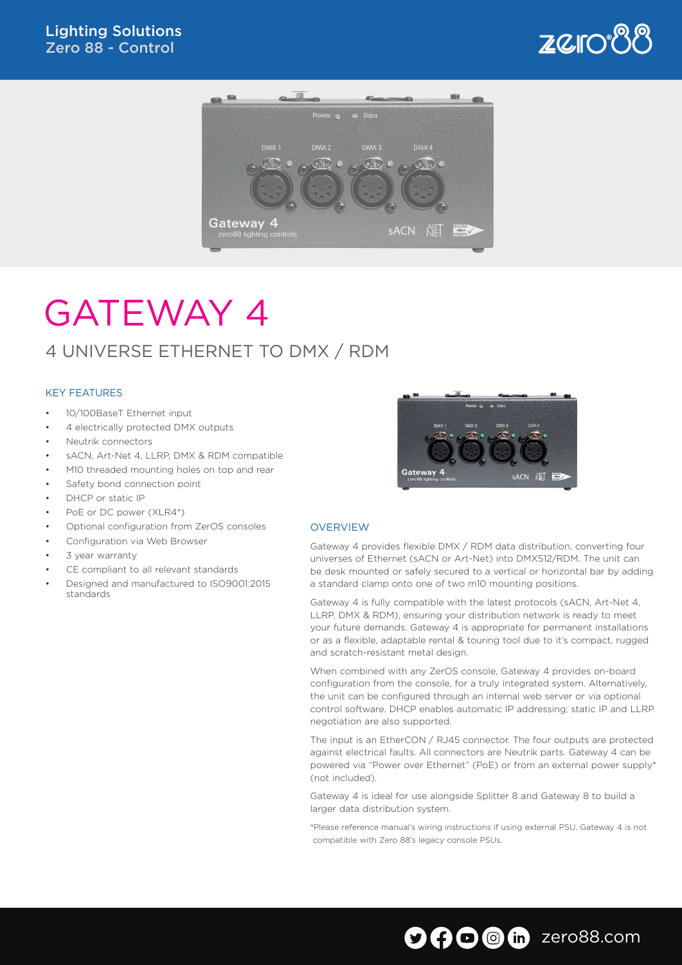



# GATEWAY 4

## 4 UNIVERSE ETHERNET TO DMX / RDM

#### KEY FEATURES

- 10/100BaseT Ethernet input
- 4 electrically protected DMX outputs
- Neutrik connectors
- sACN, Art-Net 4, LLRP, DMX & RDM compatible
- M10 threaded mounting holes on top and rear
- Safety bond connection point
- DHCP or static IP
- PoE or DC power (XLR4\*)
- Optional configuration from ZerOS consoles
- Configuration via Web Browser
- 3 year warranty
- CE compliant to all relevant standards
- Designed and manufactured to ISO9001:2015 standards



#### **OVERVIEW**

Gateway 4 provides flexible DMX / RDM data distribution, converting four universes of Ethernet (sACN or Art-Net) into DMX512/RDM. The unit can be desk mounted or safely secured to a vertical or horizontal bar by adding a standard clamp onto one of two m10 mounting positions.

Gateway 4 is fully compatible with the latest protocols (sACN, Art-Net 4, LLRP, DMX & RDM), ensuring your distribution network is ready to meet your future demands. Gateway 4 is appropriate for permanent installations or as a flexible, adaptable rental & touring tool due to it's compact, rugged and scratch-resistant metal design.

When combined with any ZerOS console, Gateway 4 provides on-board configuration from the console, for a truly integrated system. Alternatively, the unit can be configured through an internal web server or via optional control software. DHCP enables automatic IP addressing; static IP and LLRP negotiation are also supported.

The input is an EtherCON / RJ45 connector. The four outputs are protected against electrical faults. All connectors are Neutrik parts. Gateway 4 can be powered via "Power over Ethernet" (PoE) or from an external power supply\* (not included).

Gateway 4 is ideal for use alongside Splitter 8 and Gateway 8 to build a larger data distribution system.

\*Please reference manual's wiring instructions if using external PSU. Gateway 4 is not compatible with Zero 88's legacy console PSUs.